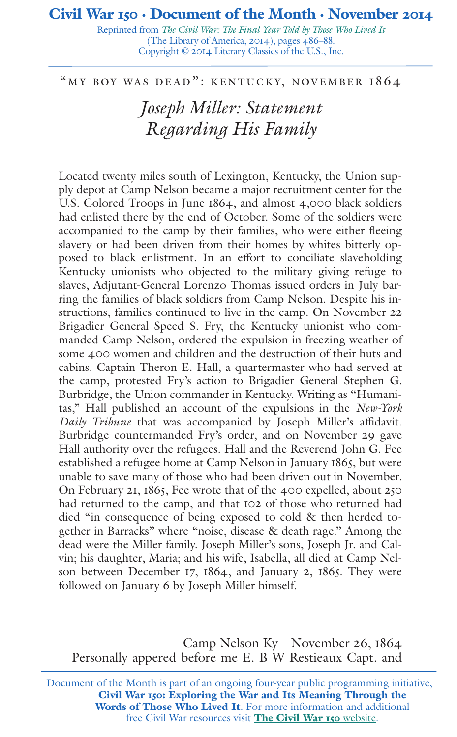## Civil War 150 · Document of the Month · November 2014

Reprinted from *[The Civil War: The Final Year Told by Those Who Lived It](http://www.loa.org/volume.jsp?RequestID=400)* (The Library of America, 2014), pages 486–88. Copyright © 2014 Literary Classics of the U.S., Inc.

"MY BOY WAS DEAD": KENTUCKY, NOVEMBER 1864

## *Joseph Miller: Statement Regarding His Family*

Located twenty miles south of Lexington, Kentucky, the Union supply depot at Camp Nelson became a major recruitment center for the U.S. Colored Troops in June 1864, and almost 4,000 black soldiers had enlisted there by the end of October. Some of the soldiers were accompanied to the camp by their families, who were either fleeing slavery or had been driven from their homes by whites bitterly opposed to black enlistment. In an effort to conciliate slaveholding Kentucky unionists who objected to the military giving refuge to slaves, Adjutant-General Lorenzo Thomas issued orders in July barring the families of black soldiers from Camp Nelson. Despite his instructions, families continued to live in the camp. On November 22 Brigadier General Speed S. Fry, the Kentucky unionist who commanded Camp Nelson, ordered the expulsion in freezing weather of some 400 women and children and the destruction of their huts and cabins. Captain Theron E. Hall, a quartermaster who had served at the camp, protested Fry's action to Brigadier General Stephen G. Burbridge, the Union commander in Kentucky. Writing as "Humanitas," Hall published an account of the expulsions in the *New-York Daily Tribune* that was accompanied by Joseph Miller's affidavit. Burbridge countermanded Fry's order, and on November 29 gave Hall authority over the refugees. Hall and the Reverend John G. Fee established a refugee home at Camp Nelson in January 1865, but were unable to save many of those who had been driven out in November. On February 21, 1865, Fee wrote that of the 400 expelled, about 250 had returned to the camp, and that 102 of those who returned had died "in consequence of being exposed to cold & then herded together in Barracks" where "noise, disease & death rage." Among the dead were the Miller family. Joseph Miller's sons, Joseph Jr. and Calvin; his daughter, Maria; and his wife, Isabella, all died at Camp Nelson between December 17, 1864, and January 2, 1865. They were followed on January 6 by Joseph Miller himself.

Camp Nelson Ky November 26, 1864 Personally appered before me E. B W Restieaux Capt. and

Document of the Month is part of an ongoing four-year public programming initiative, Civil War 150: Exploring the War and Its Meaning Through the Words of Those Who Lived It. For more information and additional free Civil War resources visit [The Civil War 150](http://www.gilderlehrman.org/civilwar150) website.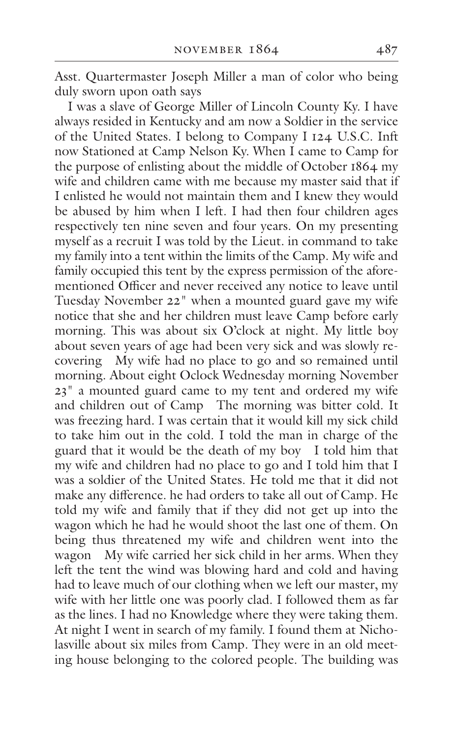Asst. Quartermaster Joseph Miller a man of color who being duly sworn upon oath says

I was a slave of George Miller of Lincoln County Ky. I have always resided in Kentucky and am now a Soldier in the service of the United States. I belong to Company I 124 U.S.C. Inft now Stationed at Camp Nelson Ky. When I came to Camp for the purpose of enlisting about the middle of October  $1864$  my wife and children came with me because my master said that if I enlisted he would not maintain them and I knew they would be abused by him when I left. I had then four children ages respectively ten nine seven and four years. On my presenting myself as a recruit I was told by the Lieut. in command to take my family into a tent within the limits of the Camp. My wife and family occupied this tent by the express permission of the aforementioned Officer and never received any notice to leave until Tuesday November 22" when a mounted guard gave my wife notice that she and her children must leave Camp before early morning. This was about six O'clock at night. My little boy about seven years of age had been very sick and was slowly recovering My wife had no place to go and so remained until morning. About eight Oclock Wednesday morning November 23" a mounted guard came to my tent and ordered my wife and children out of Camp The morning was bitter cold. It was freezing hard. I was certain that it would kill my sick child to take him out in the cold. I told the man in charge of the guard that it would be the death of my boy I told him that my wife and children had no place to go and I told him that I was a soldier of the United States. He told me that it did not make any difference. he had orders to take all out of Camp. He told my wife and family that if they did not get up into the wagon which he had he would shoot the last one of them. On being thus threatened my wife and children went into the wagon My wife carried her sick child in her arms. When they left the tent the wind was blowing hard and cold and having had to leave much of our clothing when we left our master, my wife with her little one was poorly clad. I followed them as far as the lines. I had no Knowledge where they were taking them. At night I went in search of my family. I found them at Nicholasville about six miles from Camp. They were in an old meeting house belonging to the colored people. The building was